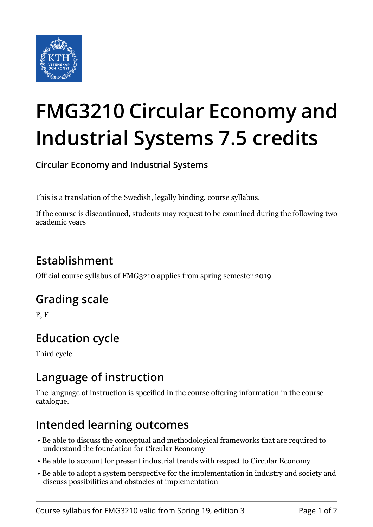

# **FMG3210 Circular Economy and Industrial Systems 7.5 credits**

**Circular Economy and Industrial Systems**

This is a translation of the Swedish, legally binding, course syllabus.

If the course is discontinued, students may request to be examined during the following two academic years

# **Establishment**

Official course syllabus of FMG3210 applies from spring semester 2019

## **Grading scale**

P, F

# **Education cycle**

Third cycle

## **Language of instruction**

The language of instruction is specified in the course offering information in the course catalogue.

## **Intended learning outcomes**

- Be able to discuss the conceptual and methodological frameworks that are required to understand the foundation for Circular Economy
- Be able to account for present industrial trends with respect to Circular Economy
- Be able to adopt a system perspective for the implementation in industry and society and discuss possibilities and obstacles at implementation